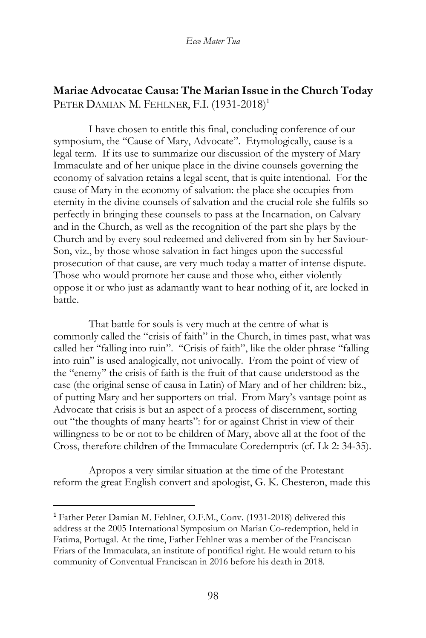# **Mariae Advocatae Causa: The Marian Issue in the Church Today** PETER DAMIAN M. FEHLNER, F.I. (1931-2018)<sup>1</sup>

I have chosen to entitle this final, concluding conference of our symposium, the "Cause of Mary, Advocate". Etymologically, cause is a legal term. If its use to summarize our discussion of the mystery of Mary Immaculate and of her unique place in the divine counsels governing the economy of salvation retains a legal scent, that is quite intentional. For the cause of Mary in the economy of salvation: the place she occupies from eternity in the divine counsels of salvation and the crucial role she fulfils so perfectly in bringing these counsels to pass at the Incarnation, on Calvary and in the Church, as well as the recognition of the part she plays by the Church and by every soul redeemed and delivered from sin by her Saviour-Son, viz., by those whose salvation in fact hinges upon the successful prosecution of that cause, are very much today a matter of intense dispute. Those who would promote her cause and those who, either violently oppose it or who just as adamantly want to hear nothing of it, are locked in battle.

That battle for souls is very much at the centre of what is commonly called the "crisis of faith" in the Church, in times past, what was called her "falling into ruin". "Crisis of faith", like the older phrase "falling into ruin" is used analogically, not univocally. From the point of view of the "enemy" the crisis of faith is the fruit of that cause understood as the case (the original sense of causa in Latin) of Mary and of her children: biz., of putting Mary and her supporters on trial. From Mary's vantage point as Advocate that crisis is but an aspect of a process of discernment, sorting out "the thoughts of many hearts": for or against Christ in view of their willingness to be or not to be children of Mary, above all at the foot of the Cross, therefore children of the Immaculate Coredemptrix (cf. Lk 2: 34-35).

Apropos a very similar situation at the time of the Protestant reform the great English convert and apologist, G. K. Chesteron, made this

<sup>1</sup> Father Peter Damian M. Fehlner, O.F.M., Conv. (1931-2018) delivered this address at the 2005 International Symposium on Marian Co-redemption, held in Fatima, Portugal. At the time, Father Fehlner was a member of the Franciscan Friars of the Immaculata, an institute of pontifical right. He would return to his community of Conventual Franciscan in 2016 before his death in 2018.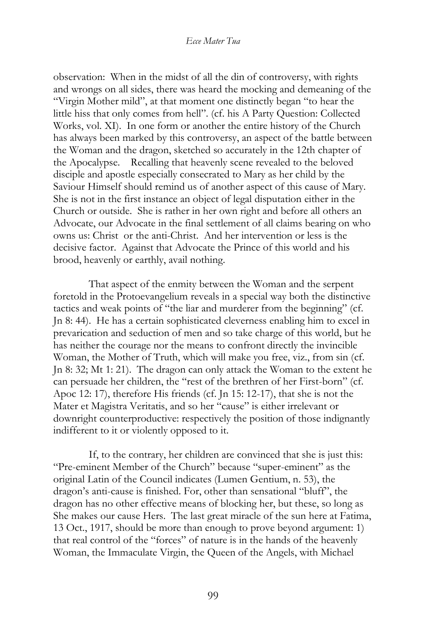observation: When in the midst of all the din of controversy, with rights and wrongs on all sides, there was heard the mocking and demeaning of the "Virgin Mother mild", at that moment one distinctly began "to hear the little hiss that only comes from hell". (cf. his A Party Question: Collected Works, vol. XI). In one form or another the entire history of the Church has always been marked by this controversy, an aspect of the battle between the Woman and the dragon, sketched so accurately in the 12th chapter of the Apocalypse. Recalling that heavenly scene revealed to the beloved disciple and apostle especially consecrated to Mary as her child by the Saviour Himself should remind us of another aspect of this cause of Mary. She is not in the first instance an object of legal disputation either in the Church or outside. She is rather in her own right and before all others an Advocate, our Advocate in the final settlement of all claims bearing on who owns us: Christ or the anti-Christ. And her intervention or less is the decisive factor. Against that Advocate the Prince of this world and his brood, heavenly or earthly, avail nothing.

That aspect of the enmity between the Woman and the serpent foretold in the Protoevangelium reveals in a special way both the distinctive tactics and weak points of "the liar and murderer from the beginning" (cf. Jn 8: 44). He has a certain sophisticated cleverness enabling him to excel in prevarication and seduction of men and so take charge of this world, but he has neither the courage nor the means to confront directly the invincible Woman, the Mother of Truth, which will make you free, viz., from sin (cf. Jn 8: 32; Mt 1: 21). The dragon can only attack the Woman to the extent he can persuade her children, the "rest of the brethren of her First-born" (cf. Apoc 12: 17), therefore His friends (cf. Jn 15: 12-17), that she is not the Mater et Magistra Veritatis, and so her "cause" is either irrelevant or downright counterproductive: respectively the position of those indignantly indifferent to it or violently opposed to it.

If, to the contrary, her children are convinced that she is just this: "Pre-eminent Member of the Church" because "super-eminent" as the original Latin of the Council indicates (Lumen Gentium, n. 53), the dragon's anti-cause is finished. For, other than sensational "bluff", the dragon has no other effective means of blocking her, but these, so long as She makes our cause Hers. The last great miracle of the sun here at Fatima, 13 Oct., 1917, should be more than enough to prove beyond argument: 1) that real control of the "forces" of nature is in the hands of the heavenly Woman, the Immaculate Virgin, the Queen of the Angels, with Michael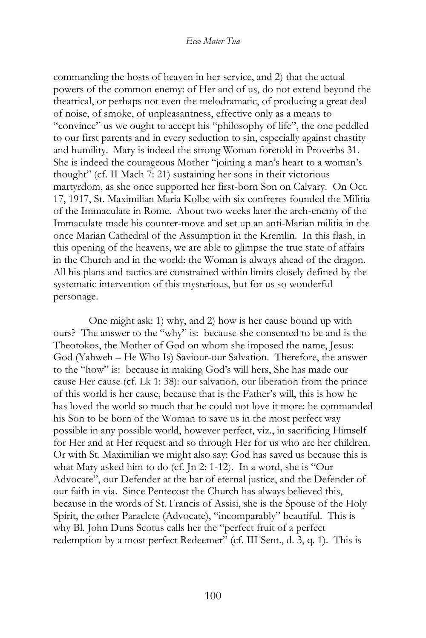commanding the hosts of heaven in her service, and 2) that the actual powers of the common enemy: of Her and of us, do not extend beyond the theatrical, or perhaps not even the melodramatic, of producing a great deal of noise, of smoke, of unpleasantness, effective only as a means to "convince" us we ought to accept his "philosophy of life", the one peddled to our first parents and in every seduction to sin, especially against chastity and humility. Mary is indeed the strong Woman foretold in Proverbs 31. She is indeed the courageous Mother "joining a man's heart to a woman's thought" (cf. II Mach 7: 21) sustaining her sons in their victorious martyrdom, as she once supported her first-born Son on Calvary. On Oct. 17, 1917, St. Maximilian Maria Kolbe with six confreres founded the Militia of the Immaculate in Rome. About two weeks later the arch-enemy of the Immaculate made his counter-move and set up an anti-Marian militia in the once Marian Cathedral of the Assumption in the Kremlin. In this flash, in this opening of the heavens, we are able to glimpse the true state of affairs in the Church and in the world: the Woman is always ahead of the dragon. All his plans and tactics are constrained within limits closely defined by the systematic intervention of this mysterious, but for us so wonderful personage.

One might ask: 1) why, and 2) how is her cause bound up with ours? The answer to the "why" is: because she consented to be and is the Theotokos, the Mother of God on whom she imposed the name, Jesus: God (Yahweh – He Who Is) Saviour-our Salvation. Therefore, the answer to the "how" is: because in making God's will hers, She has made our cause Her cause (cf. Lk 1: 38): our salvation, our liberation from the prince of this world is her cause, because that is the Father's will, this is how he has loved the world so much that he could not love it more: he commanded his Son to be born of the Woman to save us in the most perfect way possible in any possible world, however perfect, viz., in sacrificing Himself for Her and at Her request and so through Her for us who are her children. Or with St. Maximilian we might also say: God has saved us because this is what Mary asked him to do (cf. Jn 2: 1-12). In a word, she is "Our Advocate", our Defender at the bar of eternal justice, and the Defender of our faith in via. Since Pentecost the Church has always believed this, because in the words of St. Francis of Assisi, she is the Spouse of the Holy Spirit, the other Paraclete (Advocate), "incomparably" beautiful. This is why Bl. John Duns Scotus calls her the "perfect fruit of a perfect redemption by a most perfect Redeemer" (cf. III Sent., d. 3, q. 1). This is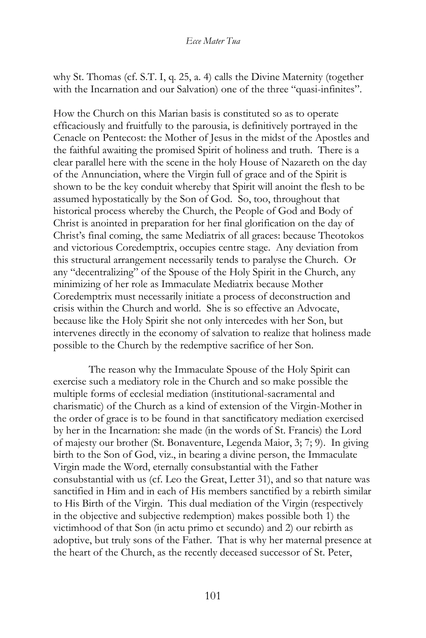why St. Thomas (cf. S.T. I, q. 25, a. 4) calls the Divine Maternity (together with the Incarnation and our Salvation) one of the three "quasi-infinites".

How the Church on this Marian basis is constituted so as to operate efficaciously and fruitfully to the parousia, is definitively portrayed in the Cenacle on Pentecost: the Mother of Jesus in the midst of the Apostles and the faithful awaiting the promised Spirit of holiness and truth. There is a clear parallel here with the scene in the holy House of Nazareth on the day of the Annunciation, where the Virgin full of grace and of the Spirit is shown to be the key conduit whereby that Spirit will anoint the flesh to be assumed hypostatically by the Son of God. So, too, throughout that historical process whereby the Church, the People of God and Body of Christ is anointed in preparation for her final glorification on the day of Christ's final coming, the same Mediatrix of all graces: because Theotokos and victorious Coredemptrix, occupies centre stage. Any deviation from this structural arrangement necessarily tends to paralyse the Church. Or any "decentralizing" of the Spouse of the Holy Spirit in the Church, any minimizing of her role as Immaculate Mediatrix because Mother Coredemptrix must necessarily initiate a process of deconstruction and crisis within the Church and world. She is so effective an Advocate, because like the Holy Spirit she not only intercedes with her Son, but intervenes directly in the economy of salvation to realize that holiness made possible to the Church by the redemptive sacrifice of her Son.

The reason why the Immaculate Spouse of the Holy Spirit can exercise such a mediatory role in the Church and so make possible the multiple forms of ecclesial mediation (institutional-sacramental and charismatic) of the Church as a kind of extension of the Virgin-Mother in the order of grace is to be found in that sanctificatory mediation exercised by her in the Incarnation: she made (in the words of St. Francis) the Lord of majesty our brother (St. Bonaventure, Legenda Maior, 3; 7; 9). In giving birth to the Son of God, viz., in bearing a divine person, the Immaculate Virgin made the Word, eternally consubstantial with the Father consubstantial with us (cf. Leo the Great, Letter 31), and so that nature was sanctified in Him and in each of His members sanctified by a rebirth similar to His Birth of the Virgin. This dual mediation of the Virgin (respectively in the objective and subjective redemption) makes possible both 1) the victimhood of that Son (in actu primo et secundo) and 2) our rebirth as adoptive, but truly sons of the Father. That is why her maternal presence at the heart of the Church, as the recently deceased successor of St. Peter,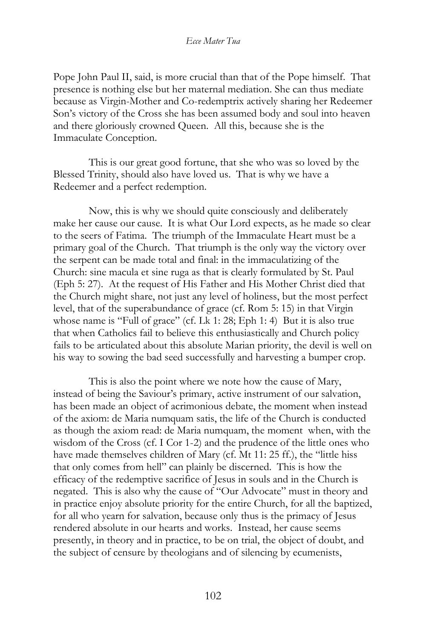Pope John Paul II, said, is more crucial than that of the Pope himself. That presence is nothing else but her maternal mediation. She can thus mediate because as Virgin-Mother and Co-redemptrix actively sharing her Redeemer Son's victory of the Cross she has been assumed body and soul into heaven and there gloriously crowned Queen. All this, because she is the Immaculate Conception.

This is our great good fortune, that she who was so loved by the Blessed Trinity, should also have loved us. That is why we have a Redeemer and a perfect redemption.

Now, this is why we should quite consciously and deliberately make her cause our cause. It is what Our Lord expects, as he made so clear to the seers of Fatima. The triumph of the Immaculate Heart must be a primary goal of the Church. That triumph is the only way the victory over the serpent can be made total and final: in the immaculatizing of the Church: sine macula et sine ruga as that is clearly formulated by St. Paul (Eph 5: 27). At the request of His Father and His Mother Christ died that the Church might share, not just any level of holiness, but the most perfect level, that of the superabundance of grace (cf. Rom 5: 15) in that Virgin whose name is "Full of grace" (cf. Lk 1: 28; Eph 1: 4) But it is also true that when Catholics fail to believe this enthusiastically and Church policy fails to be articulated about this absolute Marian priority, the devil is well on his way to sowing the bad seed successfully and harvesting a bumper crop.

This is also the point where we note how the cause of Mary, instead of being the Saviour's primary, active instrument of our salvation, has been made an object of acrimonious debate, the moment when instead of the axiom: de Maria numquam satis, the life of the Church is conducted as though the axiom read: de Maria numquam, the moment when, with the wisdom of the Cross (cf. I Cor 1-2) and the prudence of the little ones who have made themselves children of Mary (cf. Mt 11: 25 ff.), the "little hiss that only comes from hell" can plainly be discerned. This is how the efficacy of the redemptive sacrifice of Jesus in souls and in the Church is negated. This is also why the cause of "Our Advocate" must in theory and in practice enjoy absolute priority for the entire Church, for all the baptized, for all who yearn for salvation, because only thus is the primacy of Jesus rendered absolute in our hearts and works. Instead, her cause seems presently, in theory and in practice, to be on trial, the object of doubt, and the subject of censure by theologians and of silencing by ecumenists,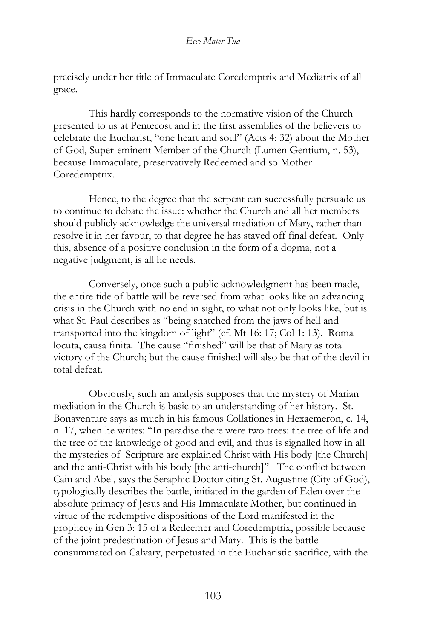precisely under her title of Immaculate Coredemptrix and Mediatrix of all grace.

This hardly corresponds to the normative vision of the Church presented to us at Pentecost and in the first assemblies of the believers to celebrate the Eucharist, "one heart and soul" (Acts 4: 32) about the Mother of God, Super-eminent Member of the Church (Lumen Gentium, n. 53), because Immaculate, preservatively Redeemed and so Mother Coredemptrix.

Hence, to the degree that the serpent can successfully persuade us to continue to debate the issue: whether the Church and all her members should publicly acknowledge the universal mediation of Mary, rather than resolve it in her favour, to that degree he has staved off final defeat. Only this, absence of a positive conclusion in the form of a dogma, not a negative judgment, is all he needs.

Conversely, once such a public acknowledgment has been made, the entire tide of battle will be reversed from what looks like an advancing crisis in the Church with no end in sight, to what not only looks like, but is what St. Paul describes as "being snatched from the jaws of hell and transported into the kingdom of light" (cf. Mt 16: 17; Col 1: 13). Roma locuta, causa finita. The cause "finished" will be that of Mary as total victory of the Church; but the cause finished will also be that of the devil in total defeat.

Obviously, such an analysis supposes that the mystery of Marian mediation in the Church is basic to an understanding of her history. St. Bonaventure says as much in his famous Collationes in Hexaemeron, c. 14, n. 17, when he writes: "In paradise there were two trees: the tree of life and the tree of the knowledge of good and evil, and thus is signalled how in all the mysteries of Scripture are explained Christ with His body [the Church] and the anti-Christ with his body [the anti-church]" The conflict between Cain and Abel, says the Seraphic Doctor citing St. Augustine (City of God), typologically describes the battle, initiated in the garden of Eden over the absolute primacy of Jesus and His Immaculate Mother, but continued in virtue of the redemptive dispositions of the Lord manifested in the prophecy in Gen 3: 15 of a Redeemer and Coredemptrix, possible because of the joint predestination of Jesus and Mary. This is the battle consummated on Calvary, perpetuated in the Eucharistic sacrifice, with the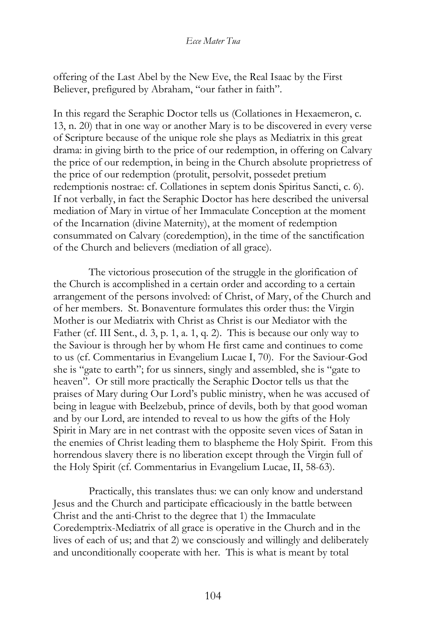offering of the Last Abel by the New Eve, the Real Isaac by the First Believer, prefigured by Abraham, "our father in faith".

In this regard the Seraphic Doctor tells us (Collationes in Hexaemeron, c. 13, n. 20) that in one way or another Mary is to be discovered in every verse of Scripture because of the unique role she plays as Mediatrix in this great drama: in giving birth to the price of our redemption, in offering on Calvary the price of our redemption, in being in the Church absolute proprietress of the price of our redemption (protulit, persolvit, possedet pretium redemptionis nostrae: cf. Collationes in septem donis Spiritus Sancti, c. 6). If not verbally, in fact the Seraphic Doctor has here described the universal mediation of Mary in virtue of her Immaculate Conception at the moment of the Incarnation (divine Maternity), at the moment of redemption consummated on Calvary (coredemption), in the time of the sanctification of the Church and believers (mediation of all grace).

The victorious prosecution of the struggle in the glorification of the Church is accomplished in a certain order and according to a certain arrangement of the persons involved: of Christ, of Mary, of the Church and of her members. St. Bonaventure formulates this order thus: the Virgin Mother is our Mediatrix with Christ as Christ is our Mediator with the Father (cf. III Sent., d. 3, p. 1, a. 1, q. 2). This is because our only way to the Saviour is through her by whom He first came and continues to come to us (cf. Commentarius in Evangelium Lucae I, 70). For the Saviour-God she is "gate to earth"; for us sinners, singly and assembled, she is "gate to heaven". Or still more practically the Seraphic Doctor tells us that the praises of Mary during Our Lord's public ministry, when he was accused of being in league with Beelzebub, prince of devils, both by that good woman and by our Lord, are intended to reveal to us how the gifts of the Holy Spirit in Mary are in net contrast with the opposite seven vices of Satan in the enemies of Christ leading them to blaspheme the Holy Spirit. From this horrendous slavery there is no liberation except through the Virgin full of the Holy Spirit (cf. Commentarius in Evangelium Lucae, II, 58-63).

Practically, this translates thus: we can only know and understand Jesus and the Church and participate efficaciously in the battle between Christ and the anti-Christ to the degree that 1) the Immaculate Coredemptrix-Mediatrix of all grace is operative in the Church and in the lives of each of us; and that 2) we consciously and willingly and deliberately and unconditionally cooperate with her. This is what is meant by total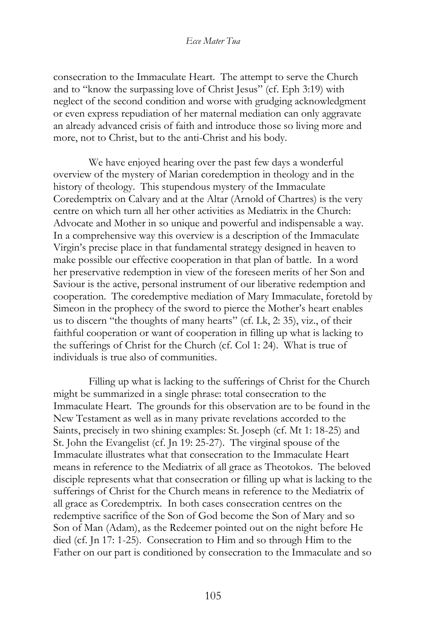consecration to the Immaculate Heart. The attempt to serve the Church and to "know the surpassing love of Christ Jesus" (cf. Eph 3:19) with neglect of the second condition and worse with grudging acknowledgment or even express repudiation of her maternal mediation can only aggravate an already advanced crisis of faith and introduce those so living more and more, not to Christ, but to the anti-Christ and his body.

We have enjoyed hearing over the past few days a wonderful overview of the mystery of Marian coredemption in theology and in the history of theology. This stupendous mystery of the Immaculate Coredemptrix on Calvary and at the Altar (Arnold of Chartres) is the very centre on which turn all her other activities as Mediatrix in the Church: Advocate and Mother in so unique and powerful and indispensable a way. In a comprehensive way this overview is a description of the Immaculate Virgin's precise place in that fundamental strategy designed in heaven to make possible our effective cooperation in that plan of battle. In a word her preservative redemption in view of the foreseen merits of her Son and Saviour is the active, personal instrument of our liberative redemption and cooperation. The coredemptive mediation of Mary Immaculate, foretold by Simeon in the prophecy of the sword to pierce the Mother's heart enables us to discern "the thoughts of many hearts" (cf. Lk, 2: 35), viz., of their faithful cooperation or want of cooperation in filling up what is lacking to the sufferings of Christ for the Church (cf. Col 1: 24). What is true of individuals is true also of communities.

Filling up what is lacking to the sufferings of Christ for the Church might be summarized in a single phrase: total consecration to the Immaculate Heart. The grounds for this observation are to be found in the New Testament as well as in many private revelations accorded to the Saints, precisely in two shining examples: St. Joseph (cf. Mt 1: 18-25) and St. John the Evangelist (cf. Jn 19: 25-27). The virginal spouse of the Immaculate illustrates what that consecration to the Immaculate Heart means in reference to the Mediatrix of all grace as Theotokos. The beloved disciple represents what that consecration or filling up what is lacking to the sufferings of Christ for the Church means in reference to the Mediatrix of all grace as Coredemptrix. In both cases consecration centres on the redemptive sacrifice of the Son of God become the Son of Mary and so Son of Man (Adam), as the Redeemer pointed out on the night before He died (cf. Jn 17: 1-25). Consecration to Him and so through Him to the Father on our part is conditioned by consecration to the Immaculate and so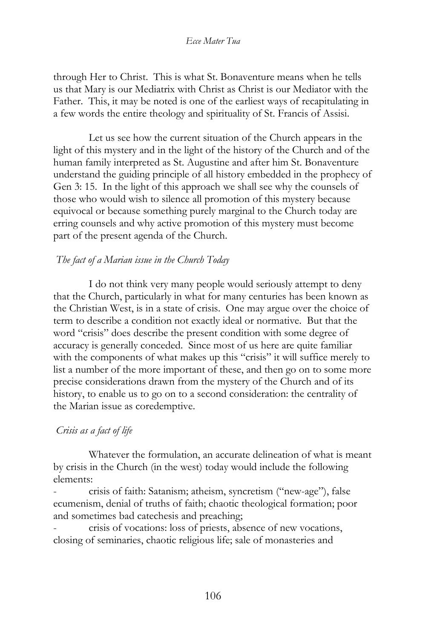through Her to Christ. This is what St. Bonaventure means when he tells us that Mary is our Mediatrix with Christ as Christ is our Mediator with the Father. This, it may be noted is one of the earliest ways of recapitulating in a few words the entire theology and spirituality of St. Francis of Assisi.

Let us see how the current situation of the Church appears in the light of this mystery and in the light of the history of the Church and of the human family interpreted as St. Augustine and after him St. Bonaventure understand the guiding principle of all history embedded in the prophecy of Gen 3: 15. In the light of this approach we shall see why the counsels of those who would wish to silence all promotion of this mystery because equivocal or because something purely marginal to the Church today are erring counsels and why active promotion of this mystery must become part of the present agenda of the Church.

## *The fact of a Marian issue in the Church Today*

I do not think very many people would seriously attempt to deny that the Church, particularly in what for many centuries has been known as the Christian West, is in a state of crisis. One may argue over the choice of term to describe a condition not exactly ideal or normative. But that the word "crisis" does describe the present condition with some degree of accuracy is generally conceded. Since most of us here are quite familiar with the components of what makes up this "crisis" it will suffice merely to list a number of the more important of these, and then go on to some more precise considerations drawn from the mystery of the Church and of its history, to enable us to go on to a second consideration: the centrality of the Marian issue as coredemptive.

# *Crisis as a fact of life*

Whatever the formulation, an accurate delineation of what is meant by crisis in the Church (in the west) today would include the following elements:

- crisis of faith: Satanism; atheism, syncretism ("new-age"), false ecumenism, denial of truths of faith; chaotic theological formation; poor and sometimes bad catechesis and preaching;

- crisis of vocations: loss of priests, absence of new vocations, closing of seminaries, chaotic religious life; sale of monasteries and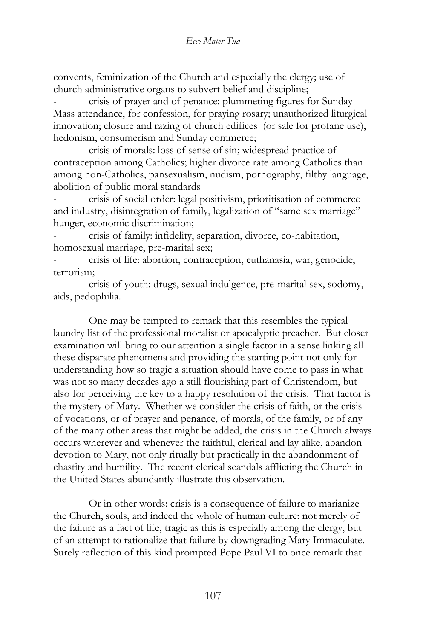convents, feminization of the Church and especially the clergy; use of church administrative organs to subvert belief and discipline;

- crisis of prayer and of penance: plummeting figures for Sunday Mass attendance, for confession, for praying rosary; unauthorized liturgical innovation; closure and razing of church edifices (or sale for profane use), hedonism, consumerism and Sunday commerce;

- crisis of morals: loss of sense of sin; widespread practice of contraception among Catholics; higher divorce rate among Catholics than among non-Catholics, pansexualism, nudism, pornography, filthy language, abolition of public moral standards

- crisis of social order: legal positivism, prioritisation of commerce and industry, disintegration of family, legalization of "same sex marriage" hunger, economic discrimination;

- crisis of family: infidelity, separation, divorce, co-habitation, homosexual marriage, pre-marital sex;

- crisis of life: abortion, contraception, euthanasia, war, genocide, terrorism;

- crisis of youth: drugs, sexual indulgence, pre-marital sex, sodomy, aids, pedophilia.

One may be tempted to remark that this resembles the typical laundry list of the professional moralist or apocalyptic preacher. But closer examination will bring to our attention a single factor in a sense linking all these disparate phenomena and providing the starting point not only for understanding how so tragic a situation should have come to pass in what was not so many decades ago a still flourishing part of Christendom, but also for perceiving the key to a happy resolution of the crisis. That factor is the mystery of Mary. Whether we consider the crisis of faith, or the crisis of vocations, or of prayer and penance, of morals, of the family, or of any of the many other areas that might be added, the crisis in the Church always occurs wherever and whenever the faithful, clerical and lay alike, abandon devotion to Mary, not only ritually but practically in the abandonment of chastity and humility. The recent clerical scandals afflicting the Church in the United States abundantly illustrate this observation.

Or in other words: crisis is a consequence of failure to marianize the Church, souls, and indeed the whole of human culture: not merely of the failure as a fact of life, tragic as this is especially among the clergy, but of an attempt to rationalize that failure by downgrading Mary Immaculate. Surely reflection of this kind prompted Pope Paul VI to once remark that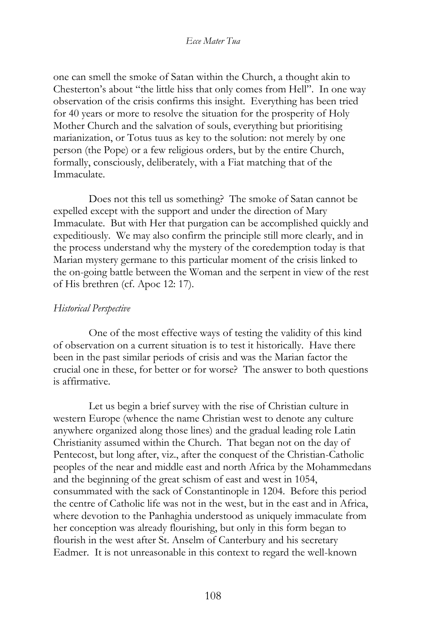one can smell the smoke of Satan within the Church, a thought akin to Chesterton's about "the little hiss that only comes from Hell". In one way observation of the crisis confirms this insight. Everything has been tried for 40 years or more to resolve the situation for the prosperity of Holy Mother Church and the salvation of souls, everything but prioritising marianization, or Totus tuus as key to the solution: not merely by one person (the Pope) or a few religious orders, but by the entire Church, formally, consciously, deliberately, with a Fiat matching that of the Immaculate.

Does not this tell us something? The smoke of Satan cannot be expelled except with the support and under the direction of Mary Immaculate. But with Her that purgation can be accomplished quickly and expeditiously. We may also confirm the principle still more clearly, and in the process understand why the mystery of the coredemption today is that Marian mystery germane to this particular moment of the crisis linked to the on-going battle between the Woman and the serpent in view of the rest of His brethren (cf. Apoc 12: 17).

## *Historical Perspective*

One of the most effective ways of testing the validity of this kind of observation on a current situation is to test it historically. Have there been in the past similar periods of crisis and was the Marian factor the crucial one in these, for better or for worse? The answer to both questions is affirmative.

Let us begin a brief survey with the rise of Christian culture in western Europe (whence the name Christian west to denote any culture anywhere organized along those lines) and the gradual leading role Latin Christianity assumed within the Church. That began not on the day of Pentecost, but long after, viz., after the conquest of the Christian-Catholic peoples of the near and middle east and north Africa by the Mohammedans and the beginning of the great schism of east and west in 1054, consummated with the sack of Constantinople in 1204. Before this period the centre of Catholic life was not in the west, but in the east and in Africa, where devotion to the Panhaghia understood as uniquely immaculate from her conception was already flourishing, but only in this form began to flourish in the west after St. Anselm of Canterbury and his secretary Eadmer. It is not unreasonable in this context to regard the well-known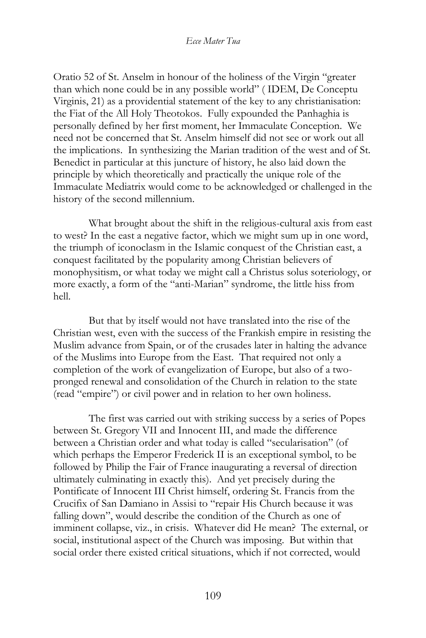Oratio 52 of St. Anselm in honour of the holiness of the Virgin "greater than which none could be in any possible world" ( IDEM, De Conceptu Virginis, 21) as a providential statement of the key to any christianisation: the Fiat of the All Holy Theotokos. Fully expounded the Panhaghia is personally defined by her first moment, her Immaculate Conception. We need not be concerned that St. Anselm himself did not see or work out all the implications. In synthesizing the Marian tradition of the west and of St. Benedict in particular at this juncture of history, he also laid down the principle by which theoretically and practically the unique role of the Immaculate Mediatrix would come to be acknowledged or challenged in the history of the second millennium.

What brought about the shift in the religious-cultural axis from east to west? In the east a negative factor, which we might sum up in one word, the triumph of iconoclasm in the Islamic conquest of the Christian east, a conquest facilitated by the popularity among Christian believers of monophysitism, or what today we might call a Christus solus soteriology, or more exactly, a form of the "anti-Marian" syndrome, the little hiss from hell.

But that by itself would not have translated into the rise of the Christian west, even with the success of the Frankish empire in resisting the Muslim advance from Spain, or of the crusades later in halting the advance of the Muslims into Europe from the East. That required not only a completion of the work of evangelization of Europe, but also of a twopronged renewal and consolidation of the Church in relation to the state (read "empire") or civil power and in relation to her own holiness.

The first was carried out with striking success by a series of Popes between St. Gregory VII and Innocent III, and made the difference between a Christian order and what today is called "secularisation" (of which perhaps the Emperor Frederick II is an exceptional symbol, to be followed by Philip the Fair of France inaugurating a reversal of direction ultimately culminating in exactly this). And yet precisely during the Pontificate of Innocent III Christ himself, ordering St. Francis from the Crucifix of San Damiano in Assisi to "repair His Church because it was falling down", would describe the condition of the Church as one of imminent collapse, viz., in crisis. Whatever did He mean? The external, or social, institutional aspect of the Church was imposing. But within that social order there existed critical situations, which if not corrected, would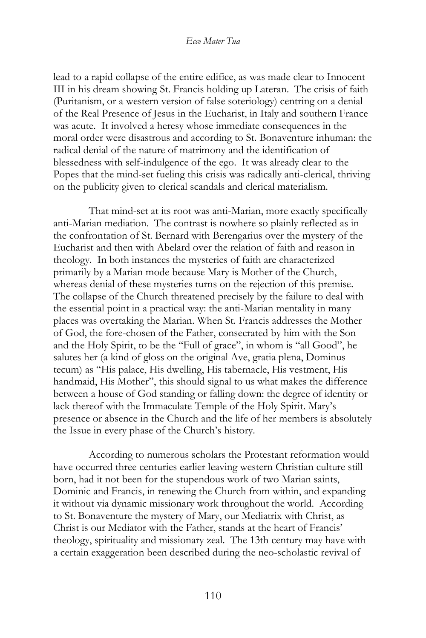lead to a rapid collapse of the entire edifice, as was made clear to Innocent III in his dream showing St. Francis holding up Lateran. The crisis of faith (Puritanism, or a western version of false soteriology) centring on a denial of the Real Presence of Jesus in the Eucharist, in Italy and southern France was acute. It involved a heresy whose immediate consequences in the moral order were disastrous and according to St. Bonaventure inhuman: the radical denial of the nature of matrimony and the identification of blessedness with self-indulgence of the ego. It was already clear to the Popes that the mind-set fueling this crisis was radically anti-clerical, thriving on the publicity given to clerical scandals and clerical materialism.

That mind-set at its root was anti-Marian, more exactly specifically anti-Marian mediation. The contrast is nowhere so plainly reflected as in the confrontation of St. Bernard with Berengarius over the mystery of the Eucharist and then with Abelard over the relation of faith and reason in theology. In both instances the mysteries of faith are characterized primarily by a Marian mode because Mary is Mother of the Church, whereas denial of these mysteries turns on the rejection of this premise. The collapse of the Church threatened precisely by the failure to deal with the essential point in a practical way: the anti-Marian mentality in many places was overtaking the Marian. When St. Francis addresses the Mother of God, the fore-chosen of the Father, consecrated by him with the Son and the Holy Spirit, to be the "Full of grace", in whom is "all Good", he salutes her (a kind of gloss on the original Ave, gratia plena, Dominus tecum) as "His palace, His dwelling, His tabernacle, His vestment, His handmaid, His Mother", this should signal to us what makes the difference between a house of God standing or falling down: the degree of identity or lack thereof with the Immaculate Temple of the Holy Spirit. Mary's presence or absence in the Church and the life of her members is absolutely the Issue in every phase of the Church's history.

According to numerous scholars the Protestant reformation would have occurred three centuries earlier leaving western Christian culture still born, had it not been for the stupendous work of two Marian saints, Dominic and Francis, in renewing the Church from within, and expanding it without via dynamic missionary work throughout the world. According to St. Bonaventure the mystery of Mary, our Mediatrix with Christ, as Christ is our Mediator with the Father, stands at the heart of Francis' theology, spirituality and missionary zeal. The 13th century may have with a certain exaggeration been described during the neo-scholastic revival of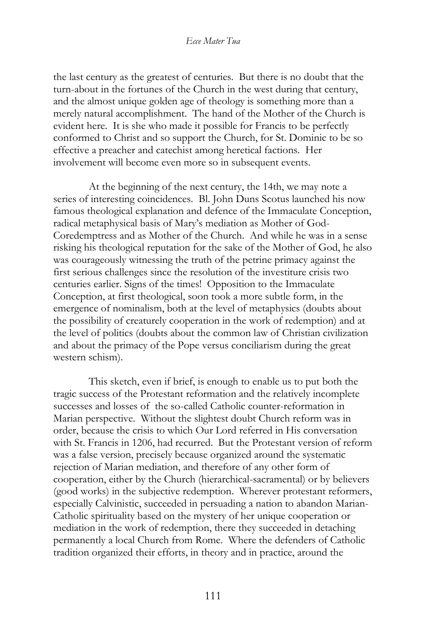the last century as the greatest of centuries. But there is no doubt that the turn-about in the fortunes of the Church in the west during that century, and the almost unique golden age of theology is something more than a merely natural accomplishment. The hand of the Mother of the Church is evident here. It is she who made it possible for Francis to be perfectly conformed to Christ and so support the Church, for St. Dominic to be so effective a preacher and catechist among heretical factions. Her involvement will become even more so in subsequent events.

At the beginning of the next century, the 14th, we may note a series of interesting coincidences. Bl. John Duns Scotus launched his now famous theological explanation and defence of the Immaculate Conception, radical metaphysical basis of Mary's mediation as Mother of God-Coredemptress and as Mother of the Church. And while he was in a sense risking his theological reputation for the sake of the Mother of God, he also was courageously witnessing the truth of the petrine primacy against the first serious challenges since the resolution of the investiture crisis two centuries earlier. Signs of the times! Opposition to the Immaculate Conception, at first theological, soon took a more subtle form, in the emergence of nominalism, both at the level of metaphysics (doubts about the possibility of creaturely cooperation in the work of redemption) and at the level of politics (doubts about the common law of Christian civilization and about the primacy of the Pope versus conciliarism during the great western schism).

This sketch, even if brief, is enough to enable us to put both the tragic success of the Protestant reformation and the relatively incomplete successes and losses of the so-called Catholic counter-reformation in Marian perspective. Without the slightest doubt Church reform was in order, because the crisis to which Our Lord referred in His conversation with St. Francis in 1206, had recurred. But the Protestant version of reform was a false version, precisely because organized around the systematic rejection of Marian mediation, and therefore of any other form of cooperation, either by the Church (hierarchical-sacramental) or by believers (good works) in the subjective redemption. Wherever protestant reformers, especially Calvinistic, succeeded in persuading a nation to abandon Marian-Catholic spirituality based on the mystery of her unique cooperation or mediation in the work of redemption, there they succeeded in detaching permanently a local Church from Rome. Where the defenders of Catholic tradition organized their efforts, in theory and in practice, around the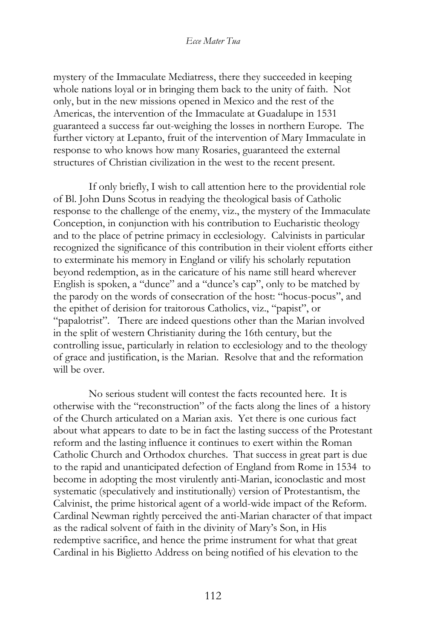mystery of the Immaculate Mediatress, there they succeeded in keeping whole nations loyal or in bringing them back to the unity of faith. Not only, but in the new missions opened in Mexico and the rest of the Americas, the intervention of the Immaculate at Guadalupe in 1531 guaranteed a success far out-weighing the losses in northern Europe. The further victory at Lepanto, fruit of the intervention of Mary Immaculate in response to who knows how many Rosaries, guaranteed the external structures of Christian civilization in the west to the recent present.

If only briefly, I wish to call attention here to the providential role of Bl. John Duns Scotus in readying the theological basis of Catholic response to the challenge of the enemy, viz., the mystery of the Immaculate Conception, in conjunction with his contribution to Eucharistic theology and to the place of petrine primacy in ecclesiology. Calvinists in particular recognized the significance of this contribution in their violent efforts either to exterminate his memory in England or vilify his scholarly reputation beyond redemption, as in the caricature of his name still heard wherever English is spoken, a "dunce" and a "dunce's cap", only to be matched by the parody on the words of consecration of the host: "hocus-pocus", and the epithet of derision for traitorous Catholics, viz., "papist", or "papalotrist". There are indeed questions other than the Marian involved in the split of western Christianity during the 16th century, but the controlling issue, particularly in relation to ecclesiology and to the theology of grace and justification, is the Marian. Resolve that and the reformation will be over.

No serious student will contest the facts recounted here. It is otherwise with the "reconstruction" of the facts along the lines of a history of the Church articulated on a Marian axis. Yet there is one curious fact about what appears to date to be in fact the lasting success of the Protestant reform and the lasting influence it continues to exert within the Roman Catholic Church and Orthodox churches. That success in great part is due to the rapid and unanticipated defection of England from Rome in 1534 to become in adopting the most virulently anti-Marian, iconoclastic and most systematic (speculatively and institutionally) version of Protestantism, the Calvinist, the prime historical agent of a world-wide impact of the Reform. Cardinal Newman rightly perceived the anti-Marian character of that impact as the radical solvent of faith in the divinity of Mary's Son, in His redemptive sacrifice, and hence the prime instrument for what that great Cardinal in his Biglietto Address on being notified of his elevation to the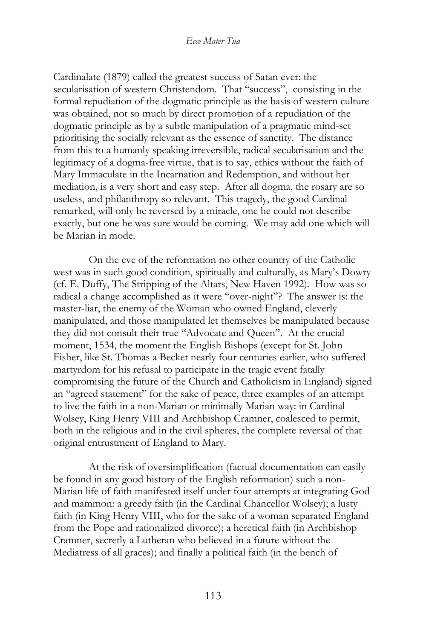Cardinalate (1879) called the greatest success of Satan ever: the secularisation of western Christendom. That "success", consisting in the formal repudiation of the dogmatic principle as the basis of western culture was obtained, not so much by direct promotion of a repudiation of the dogmatic principle as by a subtle manipulation of a pragmatic mind-set prioritising the socially relevant as the essence of sanctity. The distance from this to a humanly speaking irreversible, radical secularisation and the legitimacy of a dogma-free virtue, that is to say, ethics without the faith of Mary Immaculate in the Incarnation and Redemption, and without her mediation, is a very short and easy step. After all dogma, the rosary are so useless, and philanthropy so relevant. This tragedy, the good Cardinal remarked, will only be reversed by a miracle, one he could not describe exactly, but one he was sure would be coming. We may add one which will be Marian in mode.

On the eve of the reformation no other country of the Catholic west was in such good condition, spiritually and culturally, as Mary's Dowry (cf. E. Duffy, The Stripping of the Altars, New Haven 1992). How was so radical a change accomplished as it were "over-night"? The answer is: the master-liar, the enemy of the Woman who owned England, cleverly manipulated, and those manipulated let themselves be manipulated because they did not consult their true "Advocate and Queen". At the crucial moment, 1534, the moment the English Bishops (except for St. John Fisher, like St. Thomas a Becket nearly four centuries earlier, who suffered martyrdom for his refusal to participate in the tragic event fatally compromising the future of the Church and Catholicism in England) signed an "agreed statement" for the sake of peace, three examples of an attempt to live the faith in a non-Marian or minimally Marian way: in Cardinal Wolsey, King Henry VIII and Archbishop Cramner, coalesced to permit, both in the religious and in the civil spheres, the complete reversal of that original entrustment of England to Mary.

At the risk of oversimplification (factual documentation can easily be found in any good history of the English reformation) such a non-Marian life of faith manifested itself under four attempts at integrating God and mammon: a greedy faith (in the Cardinal Chancellor Wolsey); a lusty faith (in King Henry VIII, who for the sake of a woman separated England from the Pope and rationalized divorce); a heretical faith (in Archbishop Cramner, secretly a Lutheran who believed in a future without the Mediatress of all graces); and finally a political faith (in the bench of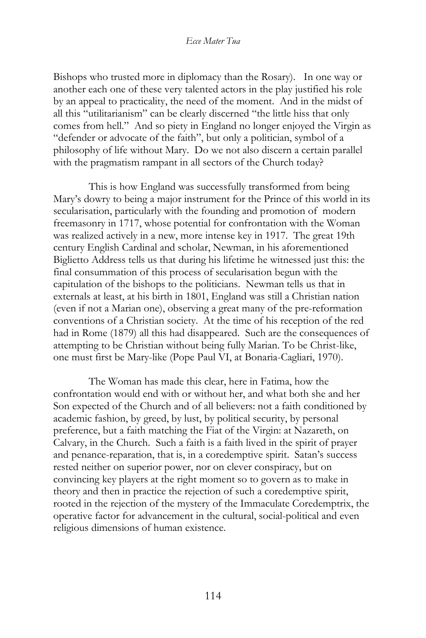Bishops who trusted more in diplomacy than the Rosary). In one way or another each one of these very talented actors in the play justified his role by an appeal to practicality, the need of the moment. And in the midst of all this "utilitarianism" can be clearly discerned "the little hiss that only comes from hell." And so piety in England no longer enjoyed the Virgin as "defender or advocate of the faith", but only a politician, symbol of a philosophy of life without Mary. Do we not also discern a certain parallel with the pragmatism rampant in all sectors of the Church today?

This is how England was successfully transformed from being Mary's dowry to being a major instrument for the Prince of this world in its secularisation, particularly with the founding and promotion of modern freemasonry in 1717, whose potential for confrontation with the Woman was realized actively in a new, more intense key in 1917. The great 19th century English Cardinal and scholar, Newman, in his aforementioned Biglietto Address tells us that during his lifetime he witnessed just this: the final consummation of this process of secularisation begun with the capitulation of the bishops to the politicians. Newman tells us that in externals at least, at his birth in 1801, England was still a Christian nation (even if not a Marian one), observing a great many of the pre-reformation conventions of a Christian society. At the time of his reception of the red had in Rome (1879) all this had disappeared. Such are the consequences of attempting to be Christian without being fully Marian. To be Christ-like, one must first be Mary-like (Pope Paul VI, at Bonaria-Cagliari, 1970).

The Woman has made this clear, here in Fatima, how the confrontation would end with or without her, and what both she and her Son expected of the Church and of all believers: not a faith conditioned by academic fashion, by greed, by lust, by political security, by personal preference, but a faith matching the Fiat of the Virgin: at Nazareth, on Calvary, in the Church. Such a faith is a faith lived in the spirit of prayer and penance-reparation, that is, in a coredemptive spirit. Satan's success rested neither on superior power, nor on clever conspiracy, but on convincing key players at the right moment so to govern as to make in theory and then in practice the rejection of such a coredemptive spirit, rooted in the rejection of the mystery of the Immaculate Coredemptrix, the operative factor for advancement in the cultural, social-political and even religious dimensions of human existence.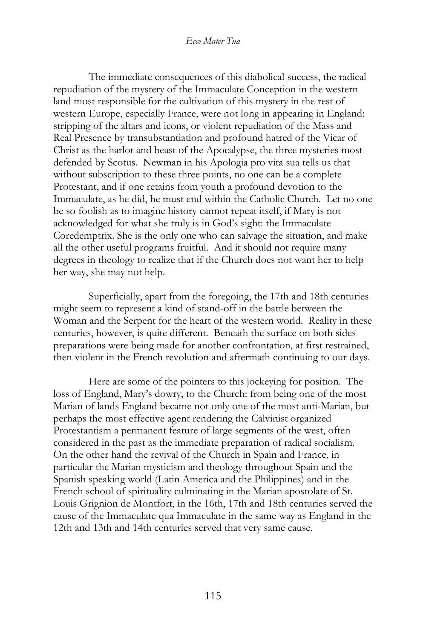The immediate consequences of this diabolical success, the radical repudiation of the mystery of the Immaculate Conception in the western land most responsible for the cultivation of this mystery in the rest of western Europe, especially France, were not long in appearing in England: stripping of the altars and icons, or violent repudiation of the Mass and Real Presence by transubstantiation and profound hatred of the Vicar of Christ as the harlot and beast of the Apocalypse, the three mysteries most defended by Scotus. Newman in his Apologia pro vita sua tells us that without subscription to these three points, no one can be a complete Protestant, and if one retains from youth a profound devotion to the Immaculate, as he did, he must end within the Catholic Church. Let no one be so foolish as to imagine history cannot repeat itself, if Mary is not acknowledged for what she truly is in God's sight: the Immaculate Coredemptrix. She is the only one who can salvage the situation, and make all the other useful programs fruitful. And it should not require many degrees in theology to realize that if the Church does not want her to help her way, she may not help.

Superficially, apart from the foregoing, the 17th and 18th centuries might seem to represent a kind of stand-off in the battle between the Woman and the Serpent for the heart of the western world. Reality in these centuries, however, is quite different. Beneath the surface on both sides preparations were being made for another confrontation, at first restrained, then violent in the French revolution and aftermath continuing to our days.

Here are some of the pointers to this jockeying for position. The loss of England, Mary's dowry, to the Church: from being one of the most Marian of lands England became not only one of the most anti-Marian, but perhaps the most effective agent rendering the Calvinist organized Protestantism a permanent feature of large segments of the west, often considered in the past as the immediate preparation of radical socialism. On the other hand the revival of the Church in Spain and France, in particular the Marian mysticism and theology throughout Spain and the Spanish speaking world (Latin America and the Philippines) and in the French school of spirituality culminating in the Marian apostolate of St. Louis Grignion de Montfort, in the 16th, 17th and 18th centuries served the cause of the Immaculate qua Immaculate in the same way as England in the 12th and 13th and 14th centuries served that very same cause.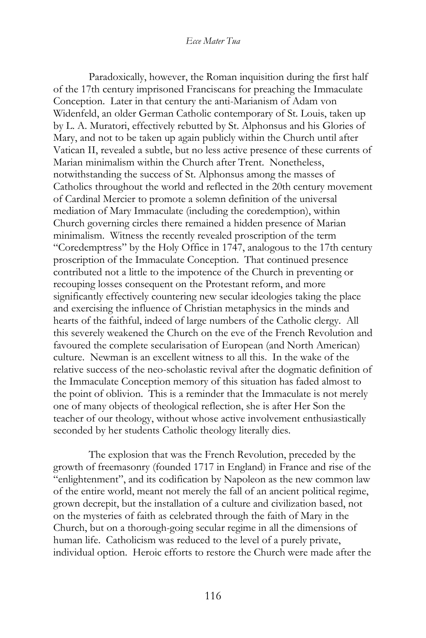Paradoxically, however, the Roman inquisition during the first half of the 17th century imprisoned Franciscans for preaching the Immaculate Conception. Later in that century the anti-Marianism of Adam von Widenfeld, an older German Catholic contemporary of St. Louis, taken up by L. A. Muratori, effectively rebutted by St. Alphonsus and his Glories of Mary, and not to be taken up again publicly within the Church until after Vatican II, revealed a subtle, but no less active presence of these currents of Marian minimalism within the Church after Trent. Nonetheless, notwithstanding the success of St. Alphonsus among the masses of Catholics throughout the world and reflected in the 20th century movement of Cardinal Mercier to promote a solemn definition of the universal mediation of Mary Immaculate (including the coredemption), within Church governing circles there remained a hidden presence of Marian minimalism. Witness the recently revealed proscription of the term "Coredemptress" by the Holy Office in 1747, analogous to the 17th century proscription of the Immaculate Conception. That continued presence contributed not a little to the impotence of the Church in preventing or recouping losses consequent on the Protestant reform, and more significantly effectively countering new secular ideologies taking the place and exercising the influence of Christian metaphysics in the minds and hearts of the faithful, indeed of large numbers of the Catholic clergy. All this severely weakened the Church on the eve of the French Revolution and favoured the complete secularisation of European (and North American) culture. Newman is an excellent witness to all this. In the wake of the relative success of the neo-scholastic revival after the dogmatic definition of the Immaculate Conception memory of this situation has faded almost to the point of oblivion. This is a reminder that the Immaculate is not merely one of many objects of theological reflection, she is after Her Son the teacher of our theology, without whose active involvement enthusiastically seconded by her students Catholic theology literally dies.

The explosion that was the French Revolution, preceded by the growth of freemasonry (founded 1717 in England) in France and rise of the "enlightenment", and its codification by Napoleon as the new common law of the entire world, meant not merely the fall of an ancient political regime, grown decrepit, but the installation of a culture and civilization based, not on the mysteries of faith as celebrated through the faith of Mary in the Church, but on a thorough-going secular regime in all the dimensions of human life. Catholicism was reduced to the level of a purely private, individual option. Heroic efforts to restore the Church were made after the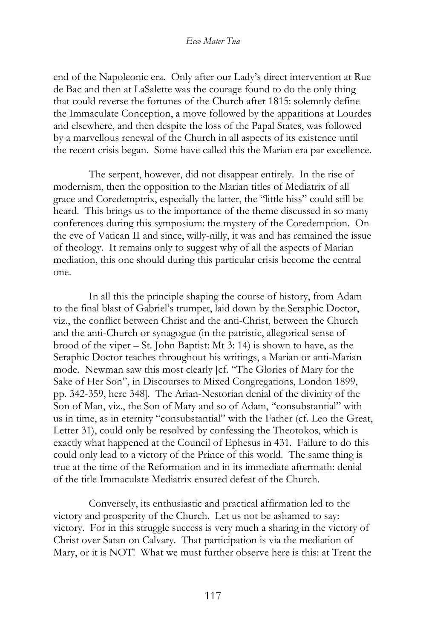end of the Napoleonic era. Only after our Lady's direct intervention at Rue de Bac and then at LaSalette was the courage found to do the only thing that could reverse the fortunes of the Church after 1815: solemnly define the Immaculate Conception, a move followed by the apparitions at Lourdes and elsewhere, and then despite the loss of the Papal States, was followed by a marvellous renewal of the Church in all aspects of its existence until the recent crisis began. Some have called this the Marian era par excellence.

The serpent, however, did not disappear entirely. In the rise of modernism, then the opposition to the Marian titles of Mediatrix of all grace and Coredemptrix, especially the latter, the "little hiss" could still be heard. This brings us to the importance of the theme discussed in so many conferences during this symposium: the mystery of the Coredemption. On the eve of Vatican II and since, willy-nilly, it was and has remained the issue of theology. It remains only to suggest why of all the aspects of Marian mediation, this one should during this particular crisis become the central one.

In all this the principle shaping the course of history, from Adam to the final blast of Gabriel's trumpet, laid down by the Seraphic Doctor, viz., the conflict between Christ and the anti-Christ, between the Church and the anti-Church or synagogue (in the patristic, allegorical sense of brood of the viper – St. John Baptist: Mt 3: 14) is shown to have, as the Seraphic Doctor teaches throughout his writings, a Marian or anti-Marian mode. Newman saw this most clearly [cf. "The Glories of Mary for the Sake of Her Son", in Discourses to Mixed Congregations, London 1899, pp. 342-359, here 348]. The Arian-Nestorian denial of the divinity of the Son of Man, viz., the Son of Mary and so of Adam, "consubstantial" with us in time, as in eternity "consubstantial" with the Father (cf. Leo the Great, Letter 31), could only be resolved by confessing the Theotokos, which is exactly what happened at the Council of Ephesus in 431. Failure to do this could only lead to a victory of the Prince of this world. The same thing is true at the time of the Reformation and in its immediate aftermath: denial of the title Immaculate Mediatrix ensured defeat of the Church.

Conversely, its enthusiastic and practical affirmation led to the victory and prosperity of the Church. Let us not be ashamed to say: victory. For in this struggle success is very much a sharing in the victory of Christ over Satan on Calvary. That participation is via the mediation of Mary, or it is NOT! What we must further observe here is this: at Trent the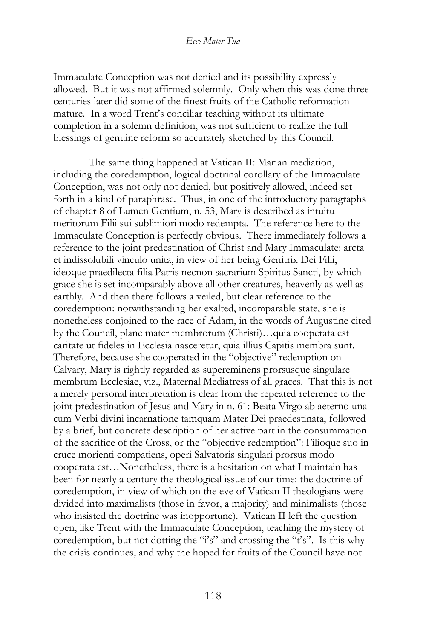Immaculate Conception was not denied and its possibility expressly allowed. But it was not affirmed solemnly. Only when this was done three centuries later did some of the finest fruits of the Catholic reformation mature. In a word Trent's conciliar teaching without its ultimate completion in a solemn definition, was not sufficient to realize the full blessings of genuine reform so accurately sketched by this Council.

The same thing happened at Vatican II: Marian mediation, including the coredemption, logical doctrinal corollary of the Immaculate Conception, was not only not denied, but positively allowed, indeed set forth in a kind of paraphrase. Thus, in one of the introductory paragraphs of chapter 8 of Lumen Gentium, n. 53, Mary is described as intuitu meritorum Filii sui sublimiori modo redempta. The reference here to the Immaculate Conception is perfectly obvious. There immediately follows a reference to the joint predestination of Christ and Mary Immaculate: arcta et indissolubili vinculo unita, in view of her being Genitrix Dei Filii, ideoque praedilecta filia Patris necnon sacrarium Spiritus Sancti, by which grace she is set incomparably above all other creatures, heavenly as well as earthly. And then there follows a veiled, but clear reference to the coredemption: notwithstanding her exalted, incomparable state, she is nonetheless conjoined to the race of Adam, in the words of Augustine cited by the Council, plane mater membrorum (Christi)…quia cooperata est caritate ut fideles in Ecclesia nasceretur, quia illius Capitis membra sunt. Therefore, because she cooperated in the "objective" redemption on Calvary, Mary is rightly regarded as supereminens prorsusque singulare membrum Ecclesiae, viz., Maternal Mediatress of all graces. That this is not a merely personal interpretation is clear from the repeated reference to the joint predestination of Jesus and Mary in n. 61: Beata Virgo ab aeterno una cum Verbi divini incarnatione tamquam Mater Dei praedestinata, followed by a brief, but concrete description of her active part in the consummation of the sacrifice of the Cross, or the "objective redemption": Filioque suo in cruce morienti compatiens, operi Salvatoris singulari prorsus modo cooperata est…Nonetheless, there is a hesitation on what I maintain has been for nearly a century the theological issue of our time: the doctrine of coredemption, in view of which on the eve of Vatican II theologians were divided into maximalists (those in favor, a majority) and minimalists (those who insisted the doctrine was inopportune). Vatican II left the question open, like Trent with the Immaculate Conception, teaching the mystery of coredemption, but not dotting the "i's" and crossing the "t's". Is this why the crisis continues, and why the hoped for fruits of the Council have not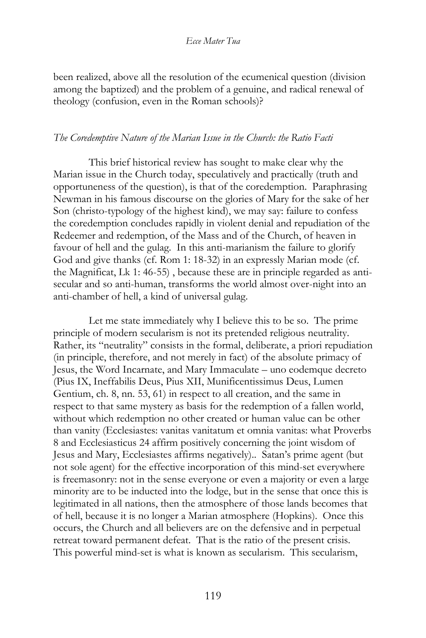been realized, above all the resolution of the ecumenical question (division among the baptized) and the problem of a genuine, and radical renewal of theology (confusion, even in the Roman schools)?

### *The Coredemptive Nature of the Marian Issue in the Church: the Ratio Facti*

This brief historical review has sought to make clear why the Marian issue in the Church today, speculatively and practically (truth and opportuneness of the question), is that of the coredemption. Paraphrasing Newman in his famous discourse on the glories of Mary for the sake of her Son (christo-typology of the highest kind), we may say: failure to confess the coredemption concludes rapidly in violent denial and repudiation of the Redeemer and redemption, of the Mass and of the Church, of heaven in favour of hell and the gulag. In this anti-marianism the failure to glorify God and give thanks (cf. Rom 1: 18-32) in an expressly Marian mode (cf. the Magnificat, Lk 1: 46-55) , because these are in principle regarded as antisecular and so anti-human, transforms the world almost over-night into an anti-chamber of hell, a kind of universal gulag.

Let me state immediately why I believe this to be so. The prime principle of modern secularism is not its pretended religious neutrality. Rather, its "neutrality" consists in the formal, deliberate, a priori repudiation (in principle, therefore, and not merely in fact) of the absolute primacy of Jesus, the Word Incarnate, and Mary Immaculate – uno eodemque decreto (Pius IX, Ineffabilis Deus, Pius XII, Munificentissimus Deus, Lumen Gentium, ch. 8, nn. 53, 61) in respect to all creation, and the same in respect to that same mystery as basis for the redemption of a fallen world, without which redemption no other created or human value can be other than vanity (Ecclesiastes: vanitas vanitatum et omnia vanitas: what Proverbs 8 and Ecclesiasticus 24 affirm positively concerning the joint wisdom of Jesus and Mary, Ecclesiastes affirms negatively).. Satan's prime agent (but not sole agent) for the effective incorporation of this mind-set everywhere is freemasonry: not in the sense everyone or even a majority or even a large minority are to be inducted into the lodge, but in the sense that once this is legitimated in all nations, then the atmosphere of those lands becomes that of hell, because it is no longer a Marian atmosphere (Hopkins). Once this occurs, the Church and all believers are on the defensive and in perpetual retreat toward permanent defeat. That is the ratio of the present crisis. This powerful mind-set is what is known as secularism. This secularism,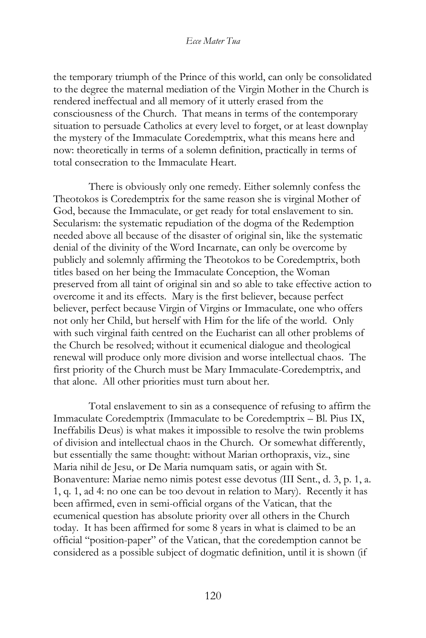the temporary triumph of the Prince of this world, can only be consolidated to the degree the maternal mediation of the Virgin Mother in the Church is rendered ineffectual and all memory of it utterly erased from the consciousness of the Church. That means in terms of the contemporary situation to persuade Catholics at every level to forget, or at least downplay the mystery of the Immaculate Coredemptrix, what this means here and now: theoretically in terms of a solemn definition, practically in terms of total consecration to the Immaculate Heart.

There is obviously only one remedy. Either solemnly confess the Theotokos is Coredemptrix for the same reason she is virginal Mother of God, because the Immaculate, or get ready for total enslavement to sin. Secularism: the systematic repudiation of the dogma of the Redemption needed above all because of the disaster of original sin, like the systematic denial of the divinity of the Word Incarnate, can only be overcome by publicly and solemnly affirming the Theotokos to be Coredemptrix, both titles based on her being the Immaculate Conception, the Woman preserved from all taint of original sin and so able to take effective action to overcome it and its effects. Mary is the first believer, because perfect believer, perfect because Virgin of Virgins or Immaculate, one who offers not only her Child, but herself with Him for the life of the world. Only with such virginal faith centred on the Eucharist can all other problems of the Church be resolved; without it ecumenical dialogue and theological renewal will produce only more division and worse intellectual chaos. The first priority of the Church must be Mary Immaculate-Coredemptrix, and that alone. All other priorities must turn about her.

Total enslavement to sin as a consequence of refusing to affirm the Immaculate Coredemptrix (Immaculate to be Coredemptrix – Bl. Pius IX, Ineffabilis Deus) is what makes it impossible to resolve the twin problems of division and intellectual chaos in the Church. Or somewhat differently, but essentially the same thought: without Marian orthopraxis, viz., sine Maria nihil de Jesu, or De Maria numquam satis, or again with St. Bonaventure: Mariae nemo nimis potest esse devotus (III Sent., d. 3, p. 1, a. 1, q. 1, ad 4: no one can be too devout in relation to Mary). Recently it has been affirmed, even in semi-official organs of the Vatican, that the ecumenical question has absolute priority over all others in the Church today. It has been affirmed for some 8 years in what is claimed to be an official "position-paper" of the Vatican, that the coredemption cannot be considered as a possible subject of dogmatic definition, until it is shown (if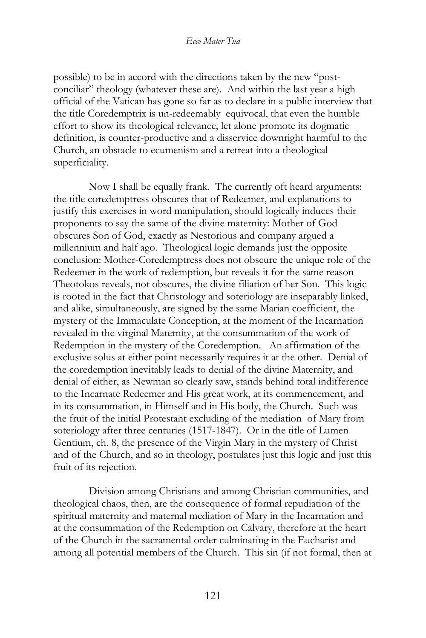possible) to be in accord with the directions taken by the new "postconciliar" theology (whatever these are). And within the last year a high official of the Vatican has gone so far as to declare in a public interview that the title Coredemptrix is un-redeemably equivocal, that even the humble effort to show its theological relevance, let alone promote its dogmatic definition, is counter-productive and a disservice downright harmful to the Church, an obstacle to ecumenism and a retreat into a theological superficiality.

Now I shall be equally frank. The currently oft heard arguments: the title coredemptress obscures that of Redeemer, and explanations to justify this exercises in word manipulation, should logically induces their proponents to say the same of the divine maternity: Mother of God obscures Son of God, exactly as Nestorious and company argued a millennium and half ago. Theological logic demands just the opposite conclusion: Mother-Coredemptress does not obscure the unique role of the Redeemer in the work of redemption, but reveals it for the same reason Theotokos reveals, not obscures, the divine filiation of her Son. This logic is rooted in the fact that Christology and soteriology are inseparably linked, and alike, simultaneously, are signed by the same Marian coefficient, the mystery of the Immaculate Conception, at the moment of the Incarnation revealed in the virginal Maternity, at the consummation of the work of Redemption in the mystery of the Coredemption. An affirmation of the exclusive solus at either point necessarily requires it at the other. Denial of the coredemption inevitably leads to denial of the divine Maternity, and denial of either, as Newman so clearly saw, stands behind total indifference to the Incarnate Redeemer and His great work, at its commencement, and in its consummation, in Himself and in His body, the Church. Such was the fruit of the initial Protestant excluding of the mediation of Mary from soteriology after three centuries (1517-1847). Or in the title of Lumen Gentium, ch. 8, the presence of the Virgin Mary in the mystery of Christ and of the Church, and so in theology, postulates just this logic and just this fruit of its rejection.

Division among Christians and among Christian communities, and theological chaos, then, are the consequence of formal repudiation of the spiritual maternity and maternal mediation of Mary in the Incarnation and at the consummation of the Redemption on Calvary, therefore at the heart of the Church in the sacramental order culminating in the Eucharist and among all potential members of the Church. This sin (if not formal, then at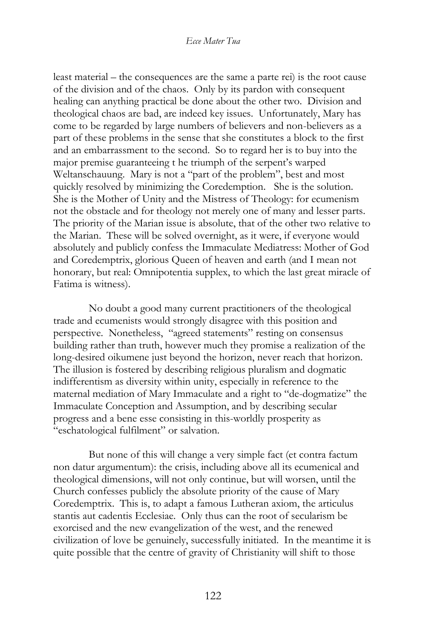least material – the consequences are the same a parte rei) is the root cause of the division and of the chaos. Only by its pardon with consequent healing can anything practical be done about the other two. Division and theological chaos are bad, are indeed key issues. Unfortunately, Mary has come to be regarded by large numbers of believers and non-believers as a part of these problems in the sense that she constitutes a block to the first and an embarrassment to the second. So to regard her is to buy into the major premise guaranteeing t he triumph of the serpent's warped Weltanschauung. Mary is not a "part of the problem", best and most quickly resolved by minimizing the Coredemption. She is the solution. She is the Mother of Unity and the Mistress of Theology: for ecumenism not the obstacle and for theology not merely one of many and lesser parts. The priority of the Marian issue is absolute, that of the other two relative to the Marian. These will be solved overnight, as it were, if everyone would absolutely and publicly confess the Immaculate Mediatress: Mother of God and Coredemptrix, glorious Queen of heaven and earth (and I mean not honorary, but real: Omnipotentia supplex, to which the last great miracle of Fatima is witness).

No doubt a good many current practitioners of the theological trade and ecumenists would strongly disagree with this position and perspective. Nonetheless, "agreed statements" resting on consensus building rather than truth, however much they promise a realization of the long-desired oikumene just beyond the horizon, never reach that horizon. The illusion is fostered by describing religious pluralism and dogmatic indifferentism as diversity within unity, especially in reference to the maternal mediation of Mary Immaculate and a right to "de-dogmatize" the Immaculate Conception and Assumption, and by describing secular progress and a bene esse consisting in this-worldly prosperity as "eschatological fulfilment" or salvation.

But none of this will change a very simple fact (et contra factum non datur argumentum): the crisis, including above all its ecumenical and theological dimensions, will not only continue, but will worsen, until the Church confesses publicly the absolute priority of the cause of Mary Coredemptrix. This is, to adapt a famous Lutheran axiom, the articulus stantis aut cadentis Ecclesiae. Only thus can the root of secularism be exorcised and the new evangelization of the west, and the renewed civilization of love be genuinely, successfully initiated. In the meantime it is quite possible that the centre of gravity of Christianity will shift to those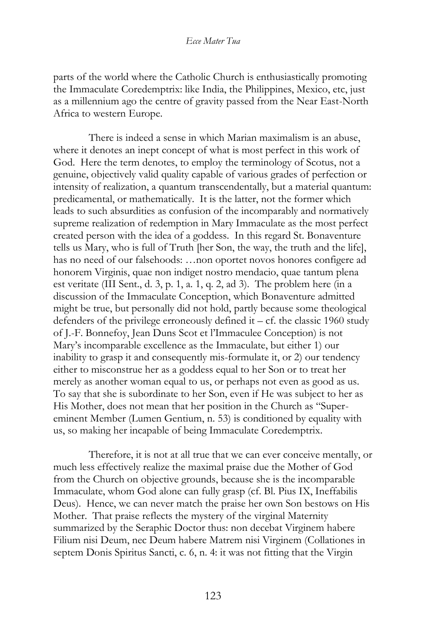parts of the world where the Catholic Church is enthusiastically promoting the Immaculate Coredemptrix: like India, the Philippines, Mexico, etc, just as a millennium ago the centre of gravity passed from the Near East-North Africa to western Europe.

There is indeed a sense in which Marian maximalism is an abuse, where it denotes an inept concept of what is most perfect in this work of God. Here the term denotes, to employ the terminology of Scotus, not a genuine, objectively valid quality capable of various grades of perfection or intensity of realization, a quantum transcendentally, but a material quantum: predicamental, or mathematically. It is the latter, not the former which leads to such absurdities as confusion of the incomparably and normatively supreme realization of redemption in Mary Immaculate as the most perfect created person with the idea of a goddess. In this regard St. Bonaventure tells us Mary, who is full of Truth [her Son, the way, the truth and the life], has no need of our falsehoods: …non oportet novos honores configere ad honorem Virginis, quae non indiget nostro mendacio, quae tantum plena est veritate (III Sent., d. 3, p. 1, a. 1, q. 2, ad 3). The problem here (in a discussion of the Immaculate Conception, which Bonaventure admitted might be true, but personally did not hold, partly because some theological defenders of the privilege erroneously defined it  $-$  cf. the classic 1960 study of J.-F. Bonnefoy, Jean Duns Scot et l'Immaculee Conception) is not Mary's incomparable excellence as the Immaculate, but either 1) our inability to grasp it and consequently mis-formulate it, or 2) our tendency either to misconstrue her as a goddess equal to her Son or to treat her merely as another woman equal to us, or perhaps not even as good as us. To say that she is subordinate to her Son, even if He was subject to her as His Mother, does not mean that her position in the Church as "Supereminent Member (Lumen Gentium, n. 53) is conditioned by equality with us, so making her incapable of being Immaculate Coredemptrix.

Therefore, it is not at all true that we can ever conceive mentally, or much less effectively realize the maximal praise due the Mother of God from the Church on objective grounds, because she is the incomparable Immaculate, whom God alone can fully grasp (cf. Bl. Pius IX, Ineffabilis Deus). Hence, we can never match the praise her own Son bestows on His Mother. That praise reflects the mystery of the virginal Maternity summarized by the Seraphic Doctor thus: non decebat Virginem habere Filium nisi Deum, nec Deum habere Matrem nisi Virginem (Collationes in septem Donis Spiritus Sancti, c. 6, n. 4: it was not fitting that the Virgin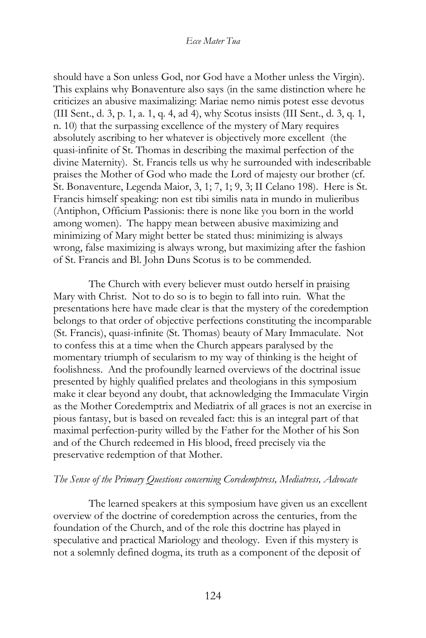should have a Son unless God, nor God have a Mother unless the Virgin). This explains why Bonaventure also says (in the same distinction where he criticizes an abusive maximalizing: Mariae nemo nimis potest esse devotus (III Sent., d. 3, p. 1, a. 1, q. 4, ad 4), why Scotus insists (III Sent., d. 3, q. 1, n. 10) that the surpassing excellence of the mystery of Mary requires absolutely ascribing to her whatever is objectively more excellent (the quasi-infinite of St. Thomas in describing the maximal perfection of the divine Maternity). St. Francis tells us why he surrounded with indescribable praises the Mother of God who made the Lord of majesty our brother (cf. St. Bonaventure, Legenda Maior, 3, 1; 7, 1; 9, 3; II Celano 198). Here is St. Francis himself speaking: non est tibi similis nata in mundo in mulieribus (Antiphon, Officium Passionis: there is none like you born in the world among women). The happy mean between abusive maximizing and minimizing of Mary might better be stated thus: minimizing is always wrong, false maximizing is always wrong, but maximizing after the fashion of St. Francis and Bl. John Duns Scotus is to be commended.

The Church with every believer must outdo herself in praising Mary with Christ. Not to do so is to begin to fall into ruin. What the presentations here have made clear is that the mystery of the coredemption belongs to that order of objective perfections constituting the incomparable (St. Francis), quasi-infinite (St. Thomas) beauty of Mary Immaculate. Not to confess this at a time when the Church appears paralysed by the momentary triumph of secularism to my way of thinking is the height of foolishness. And the profoundly learned overviews of the doctrinal issue presented by highly qualified prelates and theologians in this symposium make it clear beyond any doubt, that acknowledging the Immaculate Virgin as the Mother Coredemptrix and Mediatrix of all graces is not an exercise in pious fantasy, but is based on revealed fact: this is an integral part of that maximal perfection-purity willed by the Father for the Mother of his Son and of the Church redeemed in His blood, freed precisely via the preservative redemption of that Mother.

### *The Sense of the Primary Questions concerning Coredemptress, Mediatress, Advocate*

The learned speakers at this symposium have given us an excellent overview of the doctrine of coredemption across the centuries, from the foundation of the Church, and of the role this doctrine has played in speculative and practical Mariology and theology. Even if this mystery is not a solemnly defined dogma, its truth as a component of the deposit of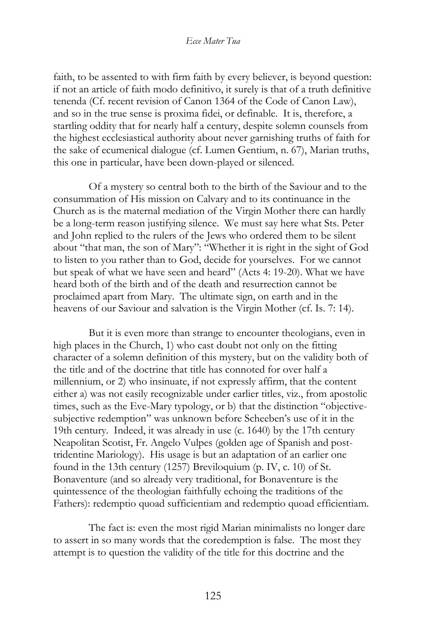faith, to be assented to with firm faith by every believer, is beyond question: if not an article of faith modo definitivo, it surely is that of a truth definitive tenenda (Cf. recent revision of Canon 1364 of the Code of Canon Law), and so in the true sense is proxima fidei, or definable. It is, therefore, a startling oddity that for nearly half a century, despite solemn counsels from the highest ecclesiastical authority about never garnishing truths of faith for the sake of ecumenical dialogue (cf. Lumen Gentium, n. 67), Marian truths, this one in particular, have been down-played or silenced.

Of a mystery so central both to the birth of the Saviour and to the consummation of His mission on Calvary and to its continuance in the Church as is the maternal mediation of the Virgin Mother there can hardly be a long-term reason justifying silence. We must say here what Sts. Peter and John replied to the rulers of the Jews who ordered them to be silent about "that man, the son of Mary": "Whether it is right in the sight of God to listen to you rather than to God, decide for yourselves. For we cannot but speak of what we have seen and heard" (Acts 4: 19-20). What we have heard both of the birth and of the death and resurrection cannot be proclaimed apart from Mary. The ultimate sign, on earth and in the heavens of our Saviour and salvation is the Virgin Mother (cf. Is. 7: 14).

But it is even more than strange to encounter theologians, even in high places in the Church, 1) who cast doubt not only on the fitting character of a solemn definition of this mystery, but on the validity both of the title and of the doctrine that title has connoted for over half a millennium, or 2) who insinuate, if not expressly affirm, that the content either a) was not easily recognizable under earlier titles, viz., from apostolic times, such as the Eve-Mary typology, or b) that the distinction "objectivesubjective redemption" was unknown before Scheeben's use of it in the 19th century. Indeed, it was already in use (c. 1640) by the 17th century Neapolitan Scotist, Fr. Angelo Vulpes (golden age of Spanish and posttridentine Mariology). His usage is but an adaptation of an earlier one found in the 13th century (1257) Breviloquium (p. IV, c. 10) of St. Bonaventure (and so already very traditional, for Bonaventure is the quintessence of the theologian faithfully echoing the traditions of the Fathers): redemptio quoad sufficientiam and redemptio quoad efficientiam.

The fact is: even the most rigid Marian minimalists no longer dare to assert in so many words that the coredemption is false. The most they attempt is to question the validity of the title for this doctrine and the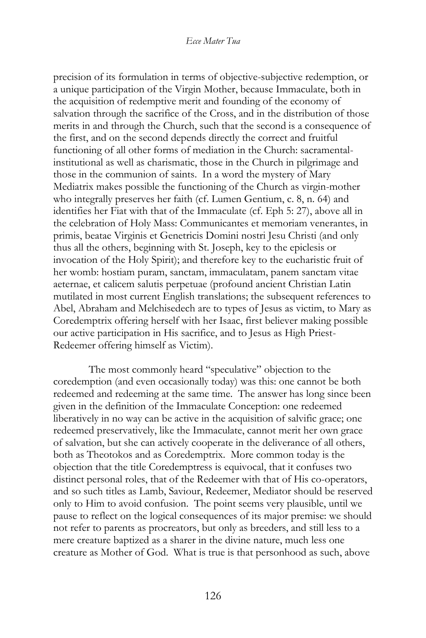precision of its formulation in terms of objective-subjective redemption, or a unique participation of the Virgin Mother, because Immaculate, both in the acquisition of redemptive merit and founding of the economy of salvation through the sacrifice of the Cross, and in the distribution of those merits in and through the Church, such that the second is a consequence of the first, and on the second depends directly the correct and fruitful functioning of all other forms of mediation in the Church: sacramentalinstitutional as well as charismatic, those in the Church in pilgrimage and those in the communion of saints. In a word the mystery of Mary Mediatrix makes possible the functioning of the Church as virgin-mother who integrally preserves her faith (cf. Lumen Gentium, c. 8, n. 64) and identifies her Fiat with that of the Immaculate (cf. Eph 5: 27), above all in the celebration of Holy Mass: Communicantes et memoriam venerantes, in primis, beatae Virginis et Genetricis Domini nostri Jesu Christi (and only thus all the others, beginning with St. Joseph, key to the epiclesis or invocation of the Holy Spirit); and therefore key to the eucharistic fruit of her womb: hostiam puram, sanctam, immaculatam, panem sanctam vitae aeternae, et calicem salutis perpetuae (profound ancient Christian Latin mutilated in most current English translations; the subsequent references to Abel, Abraham and Melchisedech are to types of Jesus as victim, to Mary as Coredemptrix offering herself with her Isaac, first believer making possible our active participation in His sacrifice, and to Jesus as High Priest-Redeemer offering himself as Victim).

The most commonly heard "speculative" objection to the coredemption (and even occasionally today) was this: one cannot be both redeemed and redeeming at the same time. The answer has long since been given in the definition of the Immaculate Conception: one redeemed liberatively in no way can be active in the acquisition of salvific grace; one redeemed preservatively, like the Immaculate, cannot merit her own grace of salvation, but she can actively cooperate in the deliverance of all others, both as Theotokos and as Coredemptrix. More common today is the objection that the title Coredemptress is equivocal, that it confuses two distinct personal roles, that of the Redeemer with that of His co-operators, and so such titles as Lamb, Saviour, Redeemer, Mediator should be reserved only to Him to avoid confusion. The point seems very plausible, until we pause to reflect on the logical consequences of its major premise: we should not refer to parents as procreators, but only as breeders, and still less to a mere creature baptized as a sharer in the divine nature, much less one creature as Mother of God. What is true is that personhood as such, above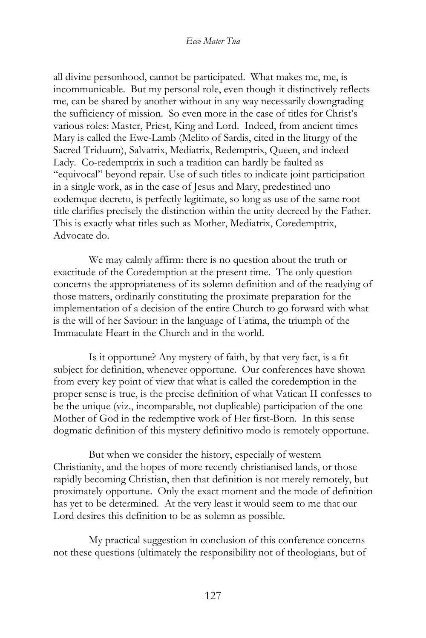all divine personhood, cannot be participated. What makes me, me, is incommunicable. But my personal role, even though it distinctively reflects me, can be shared by another without in any way necessarily downgrading the sufficiency of mission. So even more in the case of titles for Christ's various roles: Master, Priest, King and Lord. Indeed, from ancient times Mary is called the Ewe-Lamb (Melito of Sardis, cited in the liturgy of the Sacred Triduum), Salvatrix, Mediatrix, Redemptrix, Queen, and indeed Lady. Co-redemptrix in such a tradition can hardly be faulted as "equivocal" beyond repair. Use of such titles to indicate joint participation in a single work, as in the case of Jesus and Mary, predestined uno eodemque decreto, is perfectly legitimate, so long as use of the same root title clarifies precisely the distinction within the unity decreed by the Father. This is exactly what titles such as Mother, Mediatrix, Coredemptrix, Advocate do.

We may calmly affirm: there is no question about the truth or exactitude of the Coredemption at the present time. The only question concerns the appropriateness of its solemn definition and of the readying of those matters, ordinarily constituting the proximate preparation for the implementation of a decision of the entire Church to go forward with what is the will of her Saviour: in the language of Fatima, the triumph of the Immaculate Heart in the Church and in the world.

Is it opportune? Any mystery of faith, by that very fact, is a fit subject for definition, whenever opportune. Our conferences have shown from every key point of view that what is called the coredemption in the proper sense is true, is the precise definition of what Vatican II confesses to be the unique (viz., incomparable, not duplicable) participation of the one Mother of God in the redemptive work of Her first-Born. In this sense dogmatic definition of this mystery definitivo modo is remotely opportune.

But when we consider the history, especially of western Christianity, and the hopes of more recently christianised lands, or those rapidly becoming Christian, then that definition is not merely remotely, but proximately opportune. Only the exact moment and the mode of definition has yet to be determined. At the very least it would seem to me that our Lord desires this definition to be as solemn as possible.

My practical suggestion in conclusion of this conference concerns not these questions (ultimately the responsibility not of theologians, but of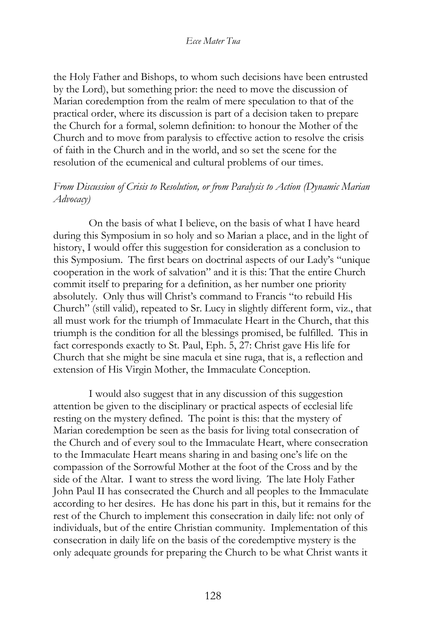the Holy Father and Bishops, to whom such decisions have been entrusted by the Lord), but something prior: the need to move the discussion of Marian coredemption from the realm of mere speculation to that of the practical order, where its discussion is part of a decision taken to prepare the Church for a formal, solemn definition: to honour the Mother of the Church and to move from paralysis to effective action to resolve the crisis of faith in the Church and in the world, and so set the scene for the resolution of the ecumenical and cultural problems of our times.

## *From Discussion of Crisis to Resolution, or from Paralysis to Action (Dynamic Marian Advocacy)*

On the basis of what I believe, on the basis of what I have heard during this Symposium in so holy and so Marian a place, and in the light of history, I would offer this suggestion for consideration as a conclusion to this Symposium. The first bears on doctrinal aspects of our Lady's "unique cooperation in the work of salvation" and it is this: That the entire Church commit itself to preparing for a definition, as her number one priority absolutely. Only thus will Christ's command to Francis "to rebuild His Church" (still valid), repeated to Sr. Lucy in slightly different form, viz., that all must work for the triumph of Immaculate Heart in the Church, that this triumph is the condition for all the blessings promised, be fulfilled. This in fact corresponds exactly to St. Paul, Eph. 5, 27: Christ gave His life for Church that she might be sine macula et sine ruga, that is, a reflection and extension of His Virgin Mother, the Immaculate Conception.

I would also suggest that in any discussion of this suggestion attention be given to the disciplinary or practical aspects of ecclesial life resting on the mystery defined. The point is this: that the mystery of Marian coredemption be seen as the basis for living total consecration of the Church and of every soul to the Immaculate Heart, where consecration to the Immaculate Heart means sharing in and basing one's life on the compassion of the Sorrowful Mother at the foot of the Cross and by the side of the Altar. I want to stress the word living. The late Holy Father John Paul II has consecrated the Church and all peoples to the Immaculate according to her desires. He has done his part in this, but it remains for the rest of the Church to implement this consecration in daily life: not only of individuals, but of the entire Christian community. Implementation of this consecration in daily life on the basis of the coredemptive mystery is the only adequate grounds for preparing the Church to be what Christ wants it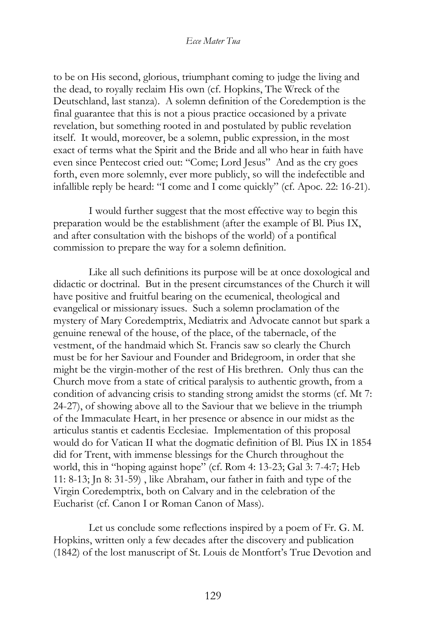to be on His second, glorious, triumphant coming to judge the living and the dead, to royally reclaim His own (cf. Hopkins, The Wreck of the Deutschland, last stanza). A solemn definition of the Coredemption is the final guarantee that this is not a pious practice occasioned by a private revelation, but something rooted in and postulated by public revelation itself. It would, moreover, be a solemn, public expression, in the most exact of terms what the Spirit and the Bride and all who hear in faith have even since Pentecost cried out: "Come; Lord Jesus" And as the cry goes forth, even more solemnly, ever more publicly, so will the indefectible and infallible reply be heard: "I come and I come quickly" (cf. Apoc. 22: 16-21).

I would further suggest that the most effective way to begin this preparation would be the establishment (after the example of Bl. Pius IX, and after consultation with the bishops of the world) of a pontifical commission to prepare the way for a solemn definition.

Like all such definitions its purpose will be at once doxological and didactic or doctrinal. But in the present circumstances of the Church it will have positive and fruitful bearing on the ecumenical, theological and evangelical or missionary issues. Such a solemn proclamation of the mystery of Mary Coredemptrix, Mediatrix and Advocate cannot but spark a genuine renewal of the house, of the place, of the tabernacle, of the vestment, of the handmaid which St. Francis saw so clearly the Church must be for her Saviour and Founder and Bridegroom, in order that she might be the virgin-mother of the rest of His brethren. Only thus can the Church move from a state of critical paralysis to authentic growth, from a condition of advancing crisis to standing strong amidst the storms (cf. Mt 7: 24-27), of showing above all to the Saviour that we believe in the triumph of the Immaculate Heart, in her presence or absence in our midst as the articulus stantis et cadentis Ecclesiae. Implementation of this proposal would do for Vatican II what the dogmatic definition of Bl. Pius IX in 1854 did for Trent, with immense blessings for the Church throughout the world, this in "hoping against hope" (cf. Rom 4: 13-23; Gal 3: 7-4:7; Heb 11: 8-13; Jn 8: 31-59) , like Abraham, our father in faith and type of the Virgin Coredemptrix, both on Calvary and in the celebration of the Eucharist (cf. Canon I or Roman Canon of Mass).

Let us conclude some reflections inspired by a poem of Fr. G. M. Hopkins, written only a few decades after the discovery and publication (1842) of the lost manuscript of St. Louis de Montfort's True Devotion and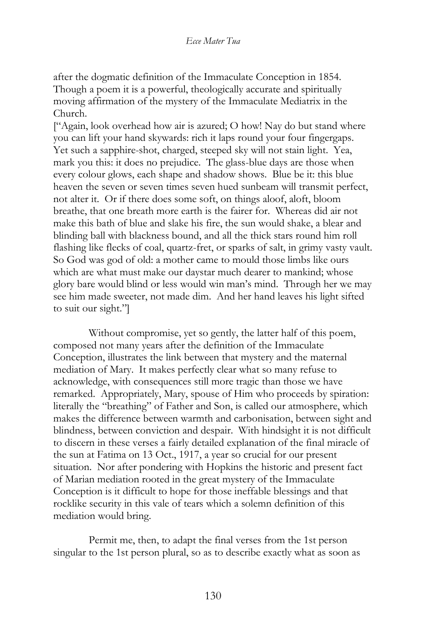after the dogmatic definition of the Immaculate Conception in 1854. Though a poem it is a powerful, theologically accurate and spiritually moving affirmation of the mystery of the Immaculate Mediatrix in the Church.

["Again, look overhead how air is azured; O how! Nay do but stand where you can lift your hand skywards: rich it laps round your four fingergaps. Yet such a sapphire-shot, charged, steeped sky will not stain light. Yea, mark you this: it does no prejudice. The glass-blue days are those when every colour glows, each shape and shadow shows. Blue be it: this blue heaven the seven or seven times seven hued sunbeam will transmit perfect, not alter it. Or if there does some soft, on things aloof, aloft, bloom breathe, that one breath more earth is the fairer for. Whereas did air not make this bath of blue and slake his fire, the sun would shake, a blear and blinding ball with blackness bound, and all the thick stars round him roll flashing like flecks of coal, quartz-fret, or sparks of salt, in grimy vasty vault. So God was god of old: a mother came to mould those limbs like ours which are what must make our daystar much dearer to mankind; whose glory bare would blind or less would win man's mind. Through her we may see him made sweeter, not made dim. And her hand leaves his light sifted to suit our sight."]

Without compromise, yet so gently, the latter half of this poem, composed not many years after the definition of the Immaculate Conception, illustrates the link between that mystery and the maternal mediation of Mary. It makes perfectly clear what so many refuse to acknowledge, with consequences still more tragic than those we have remarked. Appropriately, Mary, spouse of Him who proceeds by spiration: literally the "breathing" of Father and Son, is called our atmosphere, which makes the difference between warmth and carbonisation, between sight and blindness, between conviction and despair. With hindsight it is not difficult to discern in these verses a fairly detailed explanation of the final miracle of the sun at Fatima on 13 Oct., 1917, a year so crucial for our present situation. Nor after pondering with Hopkins the historic and present fact of Marian mediation rooted in the great mystery of the Immaculate Conception is it difficult to hope for those ineffable blessings and that rocklike security in this vale of tears which a solemn definition of this mediation would bring.

Permit me, then, to adapt the final verses from the 1st person singular to the 1st person plural, so as to describe exactly what as soon as